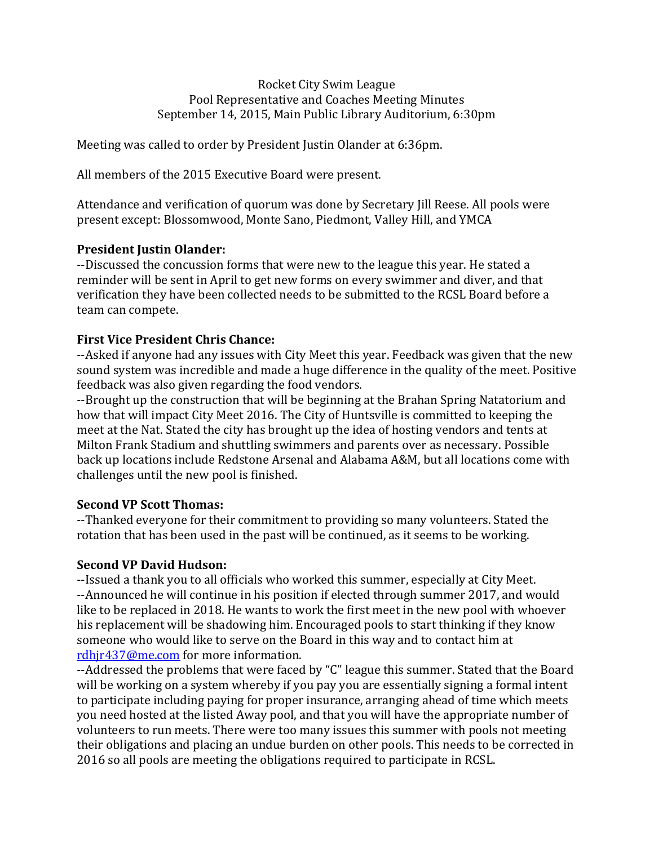Rocket City Swim League Pool Representative and Coaches Meeting Minutes September 14, 2015, Main Public Library Auditorium, 6:30pm

Meeting was called to order by President Justin Olander at 6:36pm.

All members of the 2015 Executive Board were present.

Attendance and verification of quorum was done by Secretary Jill Reese. All pools were present except: Blossomwood, Monte Sano, Piedmont, Valley Hill, and YMCA

## **President Iustin Olander:**

--Discussed the concussion forms that were new to the league this year. He stated a reminder will be sent in April to get new forms on every swimmer and diver, and that verification they have been collected needs to be submitted to the RCSL Board before a team can compete.

## **First Vice President Chris Chance:**

--Asked if anyone had any issues with City Meet this year. Feedback was given that the new sound system was incredible and made a huge difference in the quality of the meet. Positive feedback was also given regarding the food vendors.

--Brought up the construction that will be beginning at the Brahan Spring Natatorium and how that will impact City Meet 2016. The City of Huntsville is committed to keeping the meet at the Nat. Stated the city has brought up the idea of hosting vendors and tents at Milton Frank Stadium and shuttling swimmers and parents over as necessary. Possible back up locations include Redstone Arsenal and Alabama A&M, but all locations come with challenges until the new pool is finished.

# **Second VP Scott Thomas:**

--Thanked everyone for their commitment to providing so many volunteers. Stated the rotation that has been used in the past will be continued, as it seems to be working.

### **Second VP David Hudson:**

--Issued a thank you to all officials who worked this summer, especially at City Meet. --Announced he will continue in his position if elected through summer 2017, and would like to be replaced in 2018. He wants to work the first meet in the new pool with whoever his replacement will be shadowing him. Encouraged pools to start thinking if they know someone who would like to serve on the Board in this way and to contact him at rdhjr437@me.com for more information.

--Addressed the problems that were faced by "C" league this summer. Stated that the Board will be working on a system whereby if you pay you are essentially signing a formal intent to participate including paying for proper insurance, arranging ahead of time which meets you need hosted at the listed Away pool, and that you will have the appropriate number of volunteers to run meets. There were too many issues this summer with pools not meeting their obligations and placing an undue burden on other pools. This needs to be corrected in 2016 so all pools are meeting the obligations required to participate in RCSL.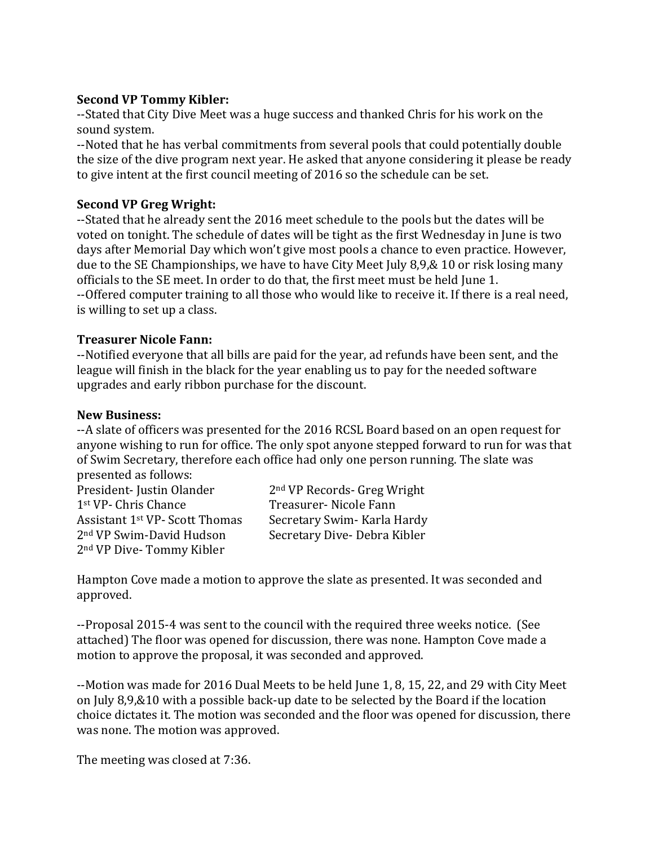### **Second VP Tommy Kibler:**

--Stated that City Dive Meet was a huge success and thanked Chris for his work on the sound system.

--Noted that he has verbal commitments from several pools that could potentially double the size of the dive program next year. He asked that anyone considering it please be ready to give intent at the first council meeting of 2016 so the schedule can be set.

# **Second VP Greg Wright:**

--Stated that he already sent the 2016 meet schedule to the pools but the dates will be voted on tonight. The schedule of dates will be tight as the first Wednesday in June is two days after Memorial Day which won't give most pools a chance to even practice. However, due to the SE Championships, we have to have City Meet July 8,9,& 10 or risk losing many officials to the SE meet. In order to do that, the first meet must be held June 1. --Offered computer training to all those who would like to receive it. If there is a real need, is willing to set up a class.

# **Treasurer Nicole Fann:**

--Notified everyone that all bills are paid for the year, ad refunds have been sent, and the league will finish in the black for the year enabling us to pay for the needed software upgrades and early ribbon purchase for the discount.

## **New Business:**

--A slate of officers was presented for the 2016 RCSL Board based on an open request for anyone wishing to run for office. The only spot anyone stepped forward to run for was that of Swim Secretary, therefore each office had only one person running. The slate was presented as follows:

President- Justin Olander 2<sup>nd</sup> VP Records- Greg Wright 1<sup>st</sup> VP- Chris Chance Treasurer- Nicole Fann Assistant 1<sup>st</sup> VP- Scott Thomas Secretary Swim- Karla Hardy 2<sup>nd</sup> VP Swim-David Hudson Secretary Dive- Debra Kibler 2<sup>nd</sup> VP Dive- Tommy Kibler

Hampton Cove made a motion to approve the slate as presented. It was seconded and approved. 

--Proposal 2015-4 was sent to the council with the required three weeks notice. (See attached) The floor was opened for discussion, there was none. Hampton Cove made a motion to approve the proposal, it was seconded and approved.

--Motion was made for 2016 Dual Meets to be held June 1, 8, 15, 22, and 29 with City Meet on July  $8,9,810$  with a possible back-up date to be selected by the Board if the location choice dictates it. The motion was seconded and the floor was opened for discussion, there was none. The motion was approved.

The meeting was closed at 7:36.